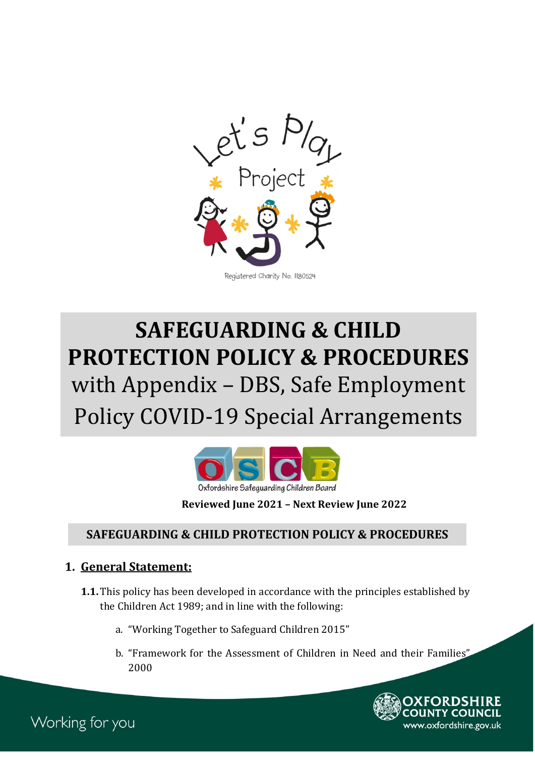

# Policy COVID-19 Special Arrangements **SAFEGUARDING & CHILD PROTECTION POLICY & PROCEDURES** with Appendix – DBS, Safe Employment



**Reviewed June 2021 – Next Review June 2022**

#### **SAFEGUARDING & CHILD PROTECTION POLICY & PROCEDURES**

#### **1. General Statement:**

- **1.1.** This policy has been developed in accordance with the principles established by the Children Act 1989; and in line with the following:
	- a. "Working Together to Safeguard Children 2015"
	- b. "Framework for the Assessment of Children in Need and their Families" 2000



Working for you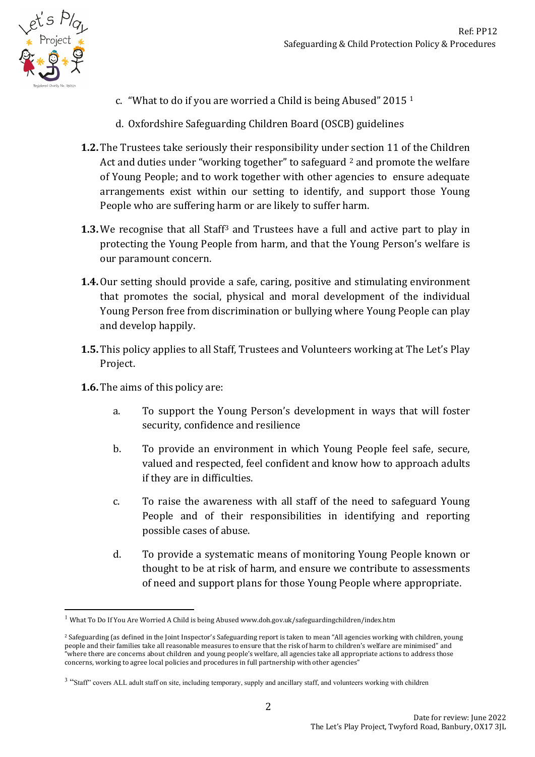

1

- c. "What to do if you are worried a Child is being Abused" 2015 [1](#page-1-0)
- d. Oxfordshire Safeguarding Children Board (OSCB) guidelines
- **1.2.** The Trustees take seriously their responsibility under section 11 of the Children Act and duties under "working together" to safeguard <sup>[2](#page-1-1)</sup> and promote the welfare of Young People; and to work together with other agencies to ensure adequate arrangements exist within our setting to identify, and support those Young People who are suffering harm or are likely to suffer harm.
- **1.3.** We recognise that all Staff<sup>3</sup> and Trustees have a full and active part to play in protecting the Young People from harm, and that the Young Person's welfare is our paramount concern.
- **1.4.**Our setting should provide a safe, caring, positive and stimulating environment that promotes the social, physical and moral development of the individual Young Person free from discrimination or bullying where Young People can play and develop happily.
- **1.5.** This policy applies to all Staff, Trustees and Volunteers working at The Let's Play Project.
- **1.6.** The aims of this policy are:
	- a. To support the Young Person's development in ways that will foster security, confidence and resilience
	- b. To provide an environment in which Young People feel safe, secure, valued and respected, feel confident and know how to approach adults if they are in difficulties.
	- c. To raise the awareness with all staff of the need to safeguard Young People and of their responsibilities in identifying and reporting possible cases of abuse.
	- d. To provide a systematic means of monitoring Young People known or thought to be at risk of harm, and ensure we contribute to assessments of need and support plans for those Young People where appropriate.

<span id="page-1-0"></span> $1$  What To Do If You Are Worried A Child is being Abused www.doh.gov.uk/safeguardingchildren/index.htm

<span id="page-1-1"></span><sup>&</sup>lt;sup>2</sup> Safeguarding (as defined in the Joint Inspector's Safeguarding report is taken to mean "All agencies working with children, young people and their families take all reasonable measures to ensure that the risk of harm to children's welfare are minimised" and "where there are concerns about children and young people's welfare, all agencies take all appropriate actions to address those concerns, working to agree local policies and procedures in full partnership with other agencies"

<span id="page-1-2"></span><sup>&</sup>lt;sup>3</sup> "Staff" covers ALL adult staff on site, including temporary, supply and ancillary staff, and volunteers working with children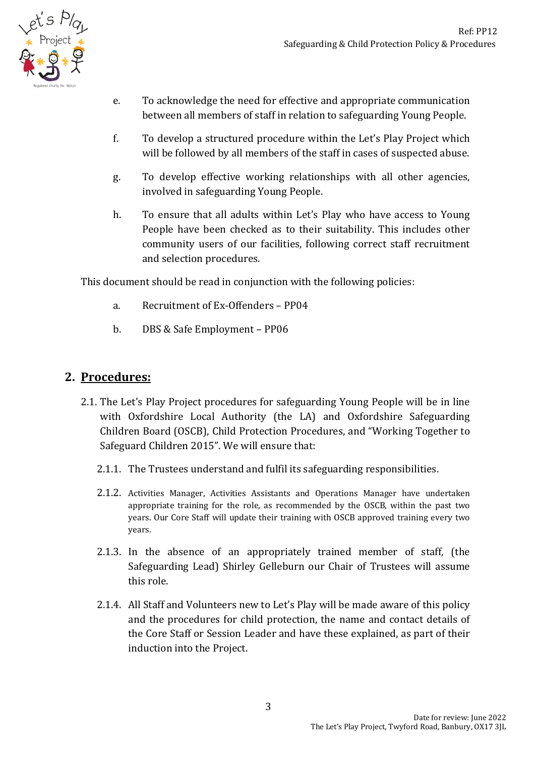

- e. To acknowledge the need for effective and appropriate communication between all members of staff in relation to safeguarding Young People.
- f. To develop a structured procedure within the Let's Play Project which will be followed by all members of the staff in cases of suspected abuse.
- g. To develop effective working relationships with all other agencies, involved in safeguarding Young People.
- h. To ensure that all adults within Let's Play who have access to Young People have been checked as to their suitability. This includes other community users of our facilities, following correct staff recruitment and selection procedures.

This document should be read in conjunction with the following policies:

- a. Recruitment of Ex-Offenders PP04
- b. DBS & Safe Employment PP06

## **2. Procedures:**

- 2.1. The Let's Play Project procedures for safeguarding Young People will be in line with Oxfordshire Local Authority (the LA) and Oxfordshire Safeguarding Children Board (OSCB), Child Protection Procedures, and "Working Together to Safeguard Children 2015". We will ensure that:
	- 2.1.1. The Trustees understand and fulfil its safeguarding responsibilities.
	- 2.1.2. Activities Manager, Activities Assistants and Operations Manager have undertaken appropriate training for the role, as recommended by the OSCB, within the past two years. Our Core Staff will update their training with OSCB approved training every two years.
	- 2.1.3. In the absence of an appropriately trained member of staff, (the Safeguarding Lead) Shirley Gelleburn our Chair of Trustees will assume this role.
	- 2.1.4. All Staff and Volunteers new to Let's Play will be made aware of this policy and the procedures for child protection, the name and contact details of the Core Staff or Session Leader and have these explained, as part of their induction into the Project.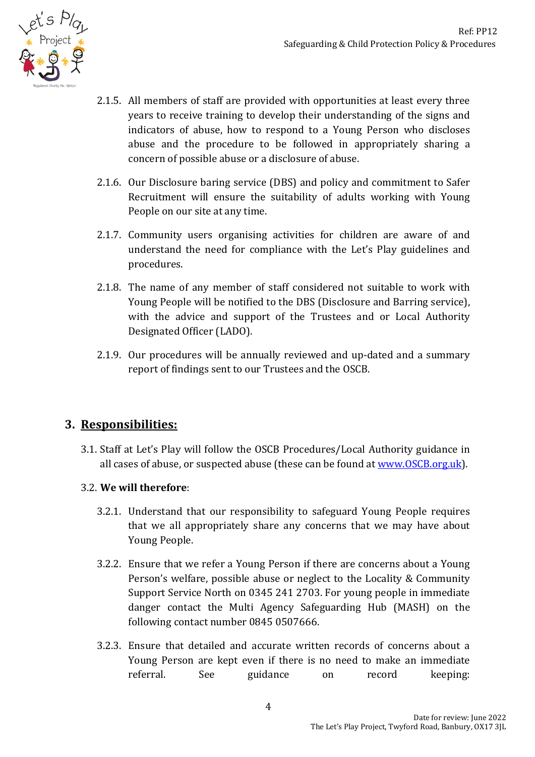

- 2.1.5. All members of staff are provided with opportunities at least every three years to receive training to develop their understanding of the signs and indicators of abuse, how to respond to a Young Person who discloses abuse and the procedure to be followed in appropriately sharing a concern of possible abuse or a disclosure of abuse.
- 2.1.6. Our Disclosure baring service (DBS) and policy and commitment to Safer Recruitment will ensure the suitability of adults working with Young People on our site at any time.
- 2.1.7. Community users organising activities for children are aware of and understand the need for compliance with the Let's Play guidelines and procedures.
- 2.1.8. The name of any member of staff considered not suitable to work with Young People will be notified to the DBS (Disclosure and Barring service), with the advice and support of the Trustees and or Local Authority Designated Officer (LADO).
- 2.1.9. Our procedures will be annually reviewed and up-dated and a summary report of findings sent to our Trustees and the OSCB.

# **3. Responsibilities:**

3.1. Staff at Let's Play will follow the OSCB Procedures/Local Authority guidance in all cases of abuse, or suspected abuse (these can be found at [www.OSCB.org.uk\)](http://www.oscb.org.uk/).

#### 3.2. **We will therefore**:

- 3.2.1. Understand that our responsibility to safeguard Young People requires that we all appropriately share any concerns that we may have about Young People.
- 3.2.2. Ensure that we refer a Young Person if there are concerns about a Young Person's welfare, possible abuse or neglect to the Locality & Community Support Service North on 0345 241 2703. For young people in immediate danger contact the Multi Agency Safeguarding Hub (MASH) on the following contact number 0845 0507666.
- 3.2.3. Ensure that detailed and accurate written records of concerns about a Young Person are kept even if there is no need to make an immediate referral. See guidance on record keeping: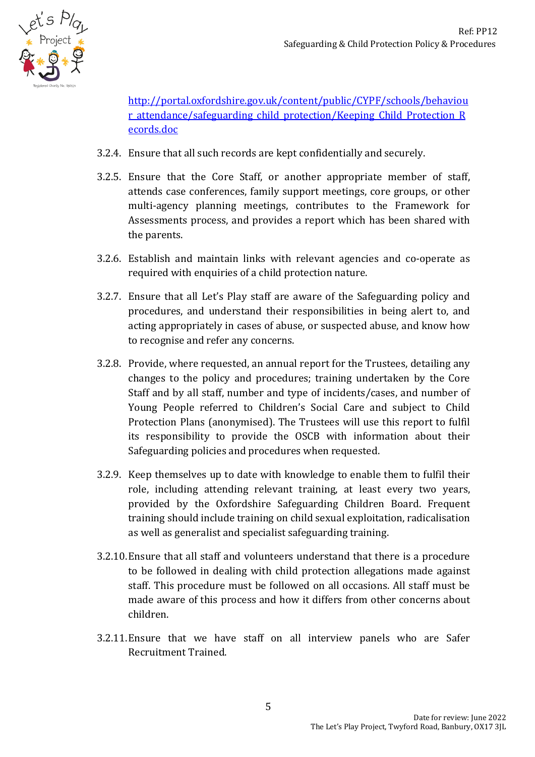

[http://portal.oxfordshire.gov.uk/content/public/CYPF/schools/behaviou](http://portal.oxfordshire.gov.uk/content/public/CYPF/schools/behaviour_attendance/safeguarding_child_protection/Keeping_Child_Protection_Records.doc) r attendance/safeguarding child protection/Keeping Child Protection R [ecords.doc](http://portal.oxfordshire.gov.uk/content/public/CYPF/schools/behaviour_attendance/safeguarding_child_protection/Keeping_Child_Protection_Records.doc)

- 3.2.4. Ensure that all such records are kept confidentially and securely.
- 3.2.5. Ensure that the Core Staff, or another appropriate member of staff, attends case conferences, family support meetings, core groups, or other multi-agency planning meetings, contributes to the Framework for Assessments process, and provides a report which has been shared with the parents.
- 3.2.6. Establish and maintain links with relevant agencies and co-operate as required with enquiries of a child protection nature.
- 3.2.7. Ensure that all Let's Play staff are aware of the Safeguarding policy and procedures, and understand their responsibilities in being alert to, and acting appropriately in cases of abuse, or suspected abuse, and know how to recognise and refer any concerns.
- 3.2.8. Provide, where requested, an annual report for the Trustees, detailing any changes to the policy and procedures; training undertaken by the Core Staff and by all staff, number and type of incidents/cases, and number of Young People referred to Children's Social Care and subject to Child Protection Plans (anonymised). The Trustees will use this report to fulfil its responsibility to provide the OSCB with information about their Safeguarding policies and procedures when requested.
- 3.2.9. Keep themselves up to date with knowledge to enable them to fulfil their role, including attending relevant training, at least every two years, provided by the Oxfordshire Safeguarding Children Board. Frequent training should include training on child sexual exploitation, radicalisation as well as generalist and specialist safeguarding training.
- 3.2.10.Ensure that all staff and volunteers understand that there is a procedure to be followed in dealing with child protection allegations made against staff. This procedure must be followed on all occasions. All staff must be made aware of this process and how it differs from other concerns about children.
- 3.2.11.Ensure that we have staff on all interview panels who are Safer Recruitment Trained.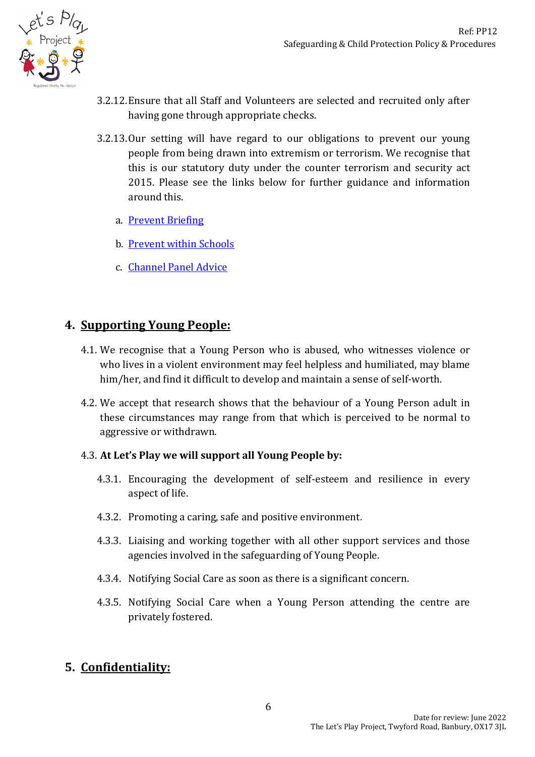

- 3.2.12.Ensure that all Staff and Volunteers are selected and recruited only after having gone through appropriate checks.
- 3.2.13.Our setting will have regard to our obligations to prevent our young people from being drawn into extremism or terrorism. We recognise that this is our statutory duty under the counter terrorism and security act 2015. Please see the links below for further guidance and information around this.
	- a. **[Prevent Briefing](http://schools.oxfordshire.gov.uk/cms/sites/schools/files/folders/folders/documents/safeguarding/Generalpreventbriefing.pdf)**
	- b. [Prevent within Schools](http://schools.oxfordshire.gov.uk/cms/sites/schools/files/folders/folders/documents/safeguarding/Educationtoolkit.pdf)
	- c. [Channel Panel Advice](http://schools.oxfordshire.gov.uk/cms/sites/schools/files/folders/folders/documents/safeguarding/Channelpanelleaflet.pdf)

### **4. Supporting Young People:**

- 4.1. We recognise that a Young Person who is abused, who witnesses violence or who lives in a violent environment may feel helpless and humiliated, may blame him/her, and find it difficult to develop and maintain a sense of self-worth.
- 4.2. We accept that research shows that the behaviour of a Young Person adult in these circumstances may range from that which is perceived to be normal to aggressive or withdrawn.

#### 4.3. **At Let's Play we will support all Young People by:**

- 4.3.1. Encouraging the development of self-esteem and resilience in every aspect of life.
- 4.3.2. Promoting a caring, safe and positive environment.
- 4.3.3. Liaising and working together with all other support services and those agencies involved in the safeguarding of Young People.
- 4.3.4. Notifying Social Care as soon as there is a significant concern.
- 4.3.5. Notifying Social Care when a Young Person attending the centre are privately fostered.

# **5. Confidentiality:**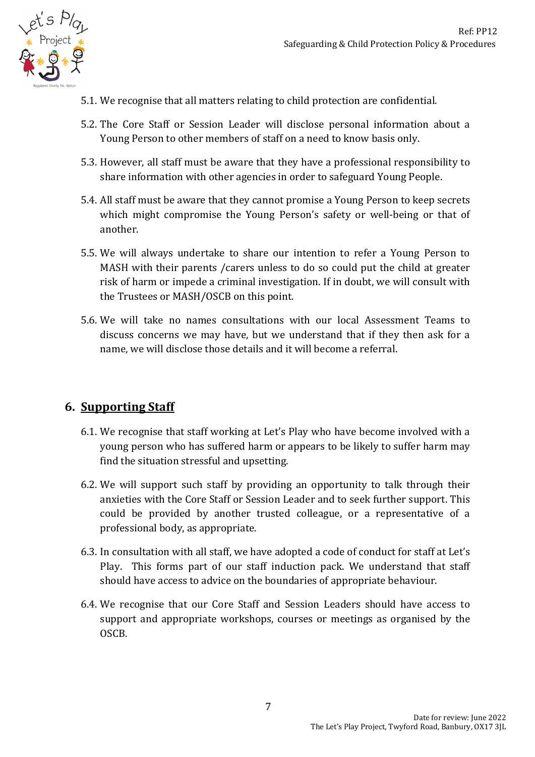

- 5.1. We recognise that all matters relating to child protection are confidential.
- 5.2. The Core Staff or Session Leader will disclose personal information about a Young Person to other members of staff on a need to know basis only.
- 5.3. However, all staff must be aware that they have a professional responsibility to share information with other agencies in order to safeguard Young People.
- 5.4. All staff must be aware that they cannot promise a Young Person to keep secrets which might compromise the Young Person's safety or well-being or that of another.
- 5.5. We will always undertake to share our intention to refer a Young Person to MASH with their parents /carers unless to do so could put the child at greater risk of harm or impede a criminal investigation. If in doubt, we will consult with the Trustees or MASH/OSCB on this point.
- 5.6. We will take no names consultations with our local Assessment Teams to discuss concerns we may have, but we understand that if they then ask for a name, we will disclose those details and it will become a referral.

# **6. Supporting Staff**

- 6.1. We recognise that staff working at Let's Play who have become involved with a young person who has suffered harm or appears to be likely to suffer harm may find the situation stressful and upsetting.
- 6.2. We will support such staff by providing an opportunity to talk through their anxieties with the Core Staff or Session Leader and to seek further support. This could be provided by another trusted colleague, or a representative of a professional body, as appropriate.
- 6.3. In consultation with all staff, we have adopted a code of conduct for staff at Let's Play. This forms part of our staff induction pack. We understand that staff should have access to advice on the boundaries of appropriate behaviour.
- 6.4. We recognise that our Core Staff and Session Leaders should have access to support and appropriate workshops, courses or meetings as organised by the OSCB.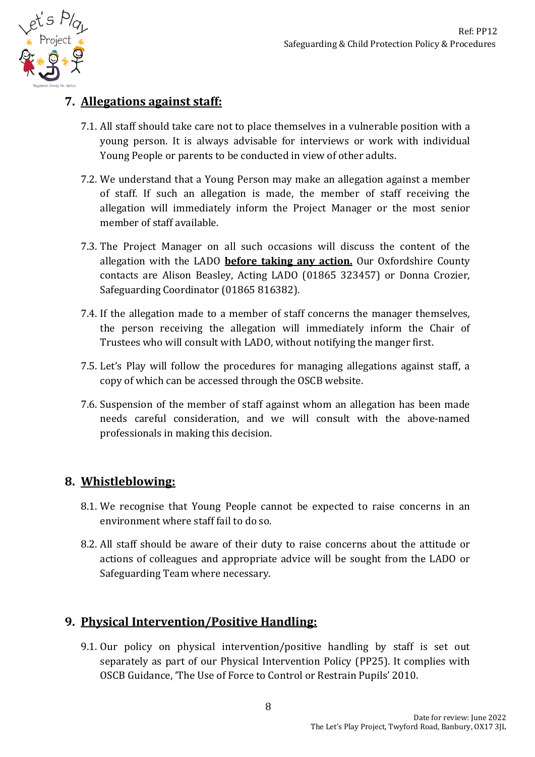

# **7. Allegations against staff:**

- 7.1. All staff should take care not to place themselves in a vulnerable position with a young person. It is always advisable for interviews or work with individual Young People or parents to be conducted in view of other adults.
- 7.2. We understand that a Young Person may make an allegation against a member of staff. If such an allegation is made, the member of staff receiving the allegation will immediately inform the Project Manager or the most senior member of staff available.
- 7.3. The Project Manager on all such occasions will discuss the content of the allegation with the LADO **before taking any action.** Our Oxfordshire County contacts are Alison Beasley, Acting LADO (01865 323457) or Donna Crozier, Safeguarding Coordinator (01865 816382).
- 7.4. If the allegation made to a member of staff concerns the manager themselves, the person receiving the allegation will immediately inform the Chair of Trustees who will consult with LADO, without notifying the manger first.
- 7.5. Let's Play will follow the procedures for managing allegations against staff, a copy of which can be accessed through the OSCB website.
- 7.6. Suspension of the member of staff against whom an allegation has been made needs careful consideration, and we will consult with the above-named professionals in making this decision.

# **8. Whistleblowing:**

- 8.1. We recognise that Young People cannot be expected to raise concerns in an environment where staff fail to do so.
- 8.2. All staff should be aware of their duty to raise concerns about the attitude or actions of colleagues and appropriate advice will be sought from the LADO or Safeguarding Team where necessary.

# **9. Physical Intervention/Positive Handling:**

9.1. Our policy on physical intervention/positive handling by staff is set out separately as part of our Physical Intervention Policy (PP25). It complies with OSCB Guidance, 'The Use of Force to Control or Restrain Pupils' 2010.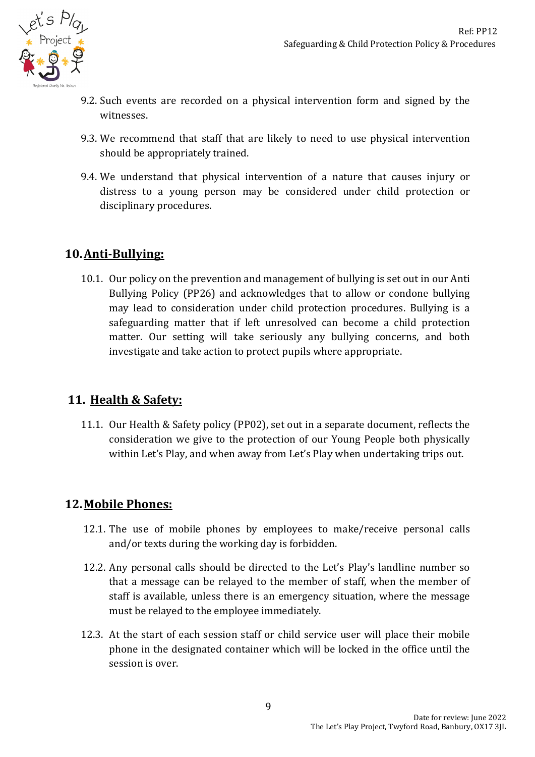

- 9.2. Such events are recorded on a physical intervention form and signed by the witnesses.
- 9.3. We recommend that staff that are likely to need to use physical intervention should be appropriately trained.
- 9.4. We understand that physical intervention of a nature that causes injury or distress to a young person may be considered under child protection or disciplinary procedures.

# **10.Anti-Bullying:**

10.1. Our policy on the prevention and management of bullying is set out in our Anti Bullying Policy (PP26) and acknowledges that to allow or condone bullying may lead to consideration under child protection procedures. Bullying is a safeguarding matter that if left unresolved can become a child protection matter. Our setting will take seriously any bullying concerns, and both investigate and take action to protect pupils where appropriate.

## **11. Health & Safety:**

11.1. Our Health & Safety policy (PP02), set out in a separate document, reflects the consideration we give to the protection of our Young People both physically within Let's Play, and when away from Let's Play when undertaking trips out.

# **12.Mobile Phones:**

- 12.1. The use of mobile phones by employees to make/receive personal calls and/or texts during the working day is forbidden.
- 12.2. Any personal calls should be directed to the Let's Play's landline number so that a message can be relayed to the member of staff, when the member of staff is available, unless there is an emergency situation, where the message must be relayed to the employee immediately.
- 12.3. At the start of each session staff or child service user will place their mobile phone in the designated container which will be locked in the office until the session is over.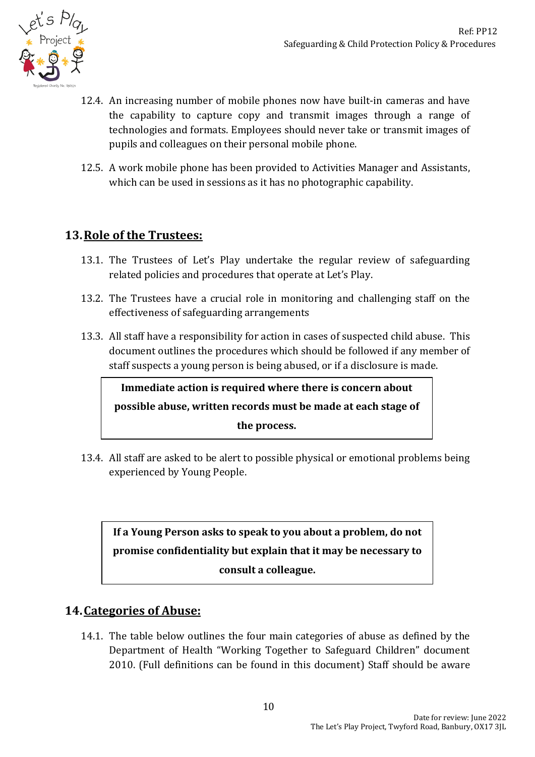

- 12.4. An increasing number of mobile phones now have built-in cameras and have the capability to capture copy and transmit images through a range of technologies and formats. Employees should never take or transmit images of pupils and colleagues on their personal mobile phone.
- 12.5. A work mobile phone has been provided to Activities Manager and Assistants, which can be used in sessions as it has no photographic capability.

# **13.Role of the Trustees:**

- 13.1. The Trustees of Let's Play undertake the regular review of safeguarding related policies and procedures that operate at Let's Play.
- 13.2. The Trustees have a crucial role in monitoring and challenging staff on the effectiveness of safeguarding arrangements
- 13.3. All staff have a responsibility for action in cases of suspected child abuse. This document outlines the procedures which should be followed if any member of staff suspects a young person is being abused, or if a disclosure is made.

**Immediate action is required where there is concern about possible abuse, written records must be made at each stage of the process.**

13.4. All staff are asked to be alert to possible physical or emotional problems being experienced by Young People.

**If a Young Person asks to speak to you about a problem, do not promise confidentiality but explain that it may be necessary to consult a colleague.** 

## **14.Categories of Abuse:**

14.1. The table below outlines the four main categories of abuse as defined by the Department of Health "Working Together to Safeguard Children" document 2010. (Full definitions can be found in this document) Staff should be aware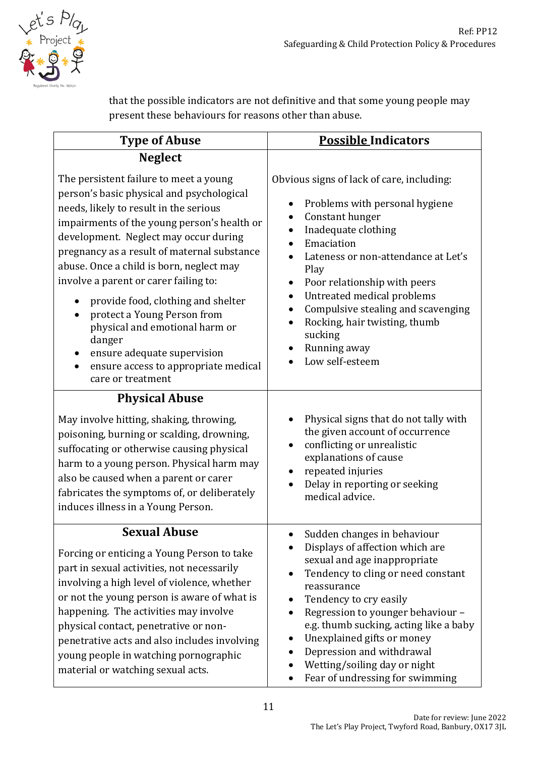

that the possible indicators are not definitive and that some young people may present these behaviours for reasons other than abuse.

| <b>Type of Abuse</b>                                                                                                                                                                                                                                                                                                                                                                                                                                                                                                                                                                | <b>Possible Indicators</b>                                                                                                                                                                                                                                                                                                                                                                                                |
|-------------------------------------------------------------------------------------------------------------------------------------------------------------------------------------------------------------------------------------------------------------------------------------------------------------------------------------------------------------------------------------------------------------------------------------------------------------------------------------------------------------------------------------------------------------------------------------|---------------------------------------------------------------------------------------------------------------------------------------------------------------------------------------------------------------------------------------------------------------------------------------------------------------------------------------------------------------------------------------------------------------------------|
| <b>Neglect</b>                                                                                                                                                                                                                                                                                                                                                                                                                                                                                                                                                                      |                                                                                                                                                                                                                                                                                                                                                                                                                           |
| The persistent failure to meet a young<br>person's basic physical and psychological<br>needs, likely to result in the serious<br>impairments of the young person's health or<br>development. Neglect may occur during<br>pregnancy as a result of maternal substance<br>abuse. Once a child is born, neglect may<br>involve a parent or carer failing to:<br>provide food, clothing and shelter<br>$\bullet$<br>protect a Young Person from<br>physical and emotional harm or<br>danger<br>ensure adequate supervision<br>ensure access to appropriate medical<br>care or treatment | Obvious signs of lack of care, including:<br>Problems with personal hygiene<br>Constant hunger<br>$\bullet$<br>Inadequate clothing<br>Emaciation<br>Lateness or non-attendance at Let's<br>Play<br>Poor relationship with peers<br>Untreated medical problems<br>$\bullet$<br>Compulsive stealing and scavenging<br>$\bullet$<br>Rocking, hair twisting, thumb<br>$\bullet$<br>sucking<br>Running away<br>Low self-esteem |
| <b>Physical Abuse</b><br>May involve hitting, shaking, throwing,<br>poisoning, burning or scalding, drowning,<br>suffocating or otherwise causing physical<br>harm to a young person. Physical harm may<br>also be caused when a parent or carer<br>fabricates the symptoms of, or deliberately<br>induces illness in a Young Person.                                                                                                                                                                                                                                               | Physical signs that do not tally with<br>the given account of occurrence<br>conflicting or unrealistic<br>explanations of cause<br>repeated injuries<br>Delay in reporting or seeking<br>medical advice.                                                                                                                                                                                                                  |
| <b>Sexual Abuse</b><br>Forcing or enticing a Young Person to take<br>part in sexual activities, not necessarily<br>involving a high level of violence, whether<br>or not the young person is aware of what is<br>happening. The activities may involve<br>physical contact, penetrative or non-<br>penetrative acts and also includes involving<br>young people in watching pornographic<br>material or watching sexual acts.                                                                                                                                                       | Sudden changes in behaviour<br>Displays of affection which are<br>sexual and age inappropriate<br>Tendency to cling or need constant<br>reassurance<br>Tendency to cry easily<br>Regression to younger behaviour -<br>e.g. thumb sucking, acting like a baby<br>Unexplained gifts or money<br>Depression and withdrawal<br>Wetting/soiling day or night<br>Fear of undressing for swimming<br>$\bullet$                   |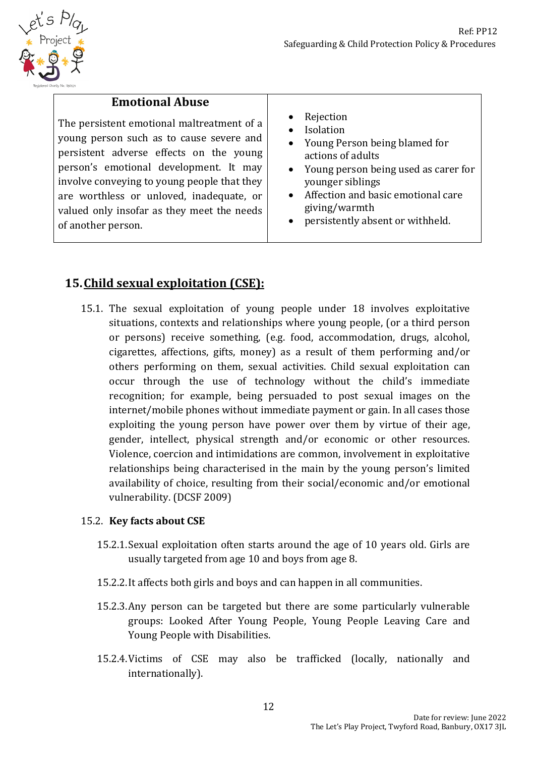

## **Emotional Abuse**

The persistent emotional maltreatment of a young person such as to cause severe and persistent adverse effects on the young person's emotional development. It may involve conveying to young people that they are worthless or unloved, inadequate, or valued only insofar as they meet the needs of another person.

- Rejection
- Isolation
- Young Person being blamed for actions of adults
- Young person being used as carer for younger siblings
- Affection and basic emotional care giving/warmth
- persistently absent or withheld.

# **15.Child sexual exploitation (CSE):**

15.1. The sexual exploitation of young people under 18 involves exploitative situations, contexts and relationships where young people, (or a third person or persons) receive something, (e.g. food, accommodation, drugs, alcohol, cigarettes, affections, gifts, money) as a result of them performing and/or others performing on them, sexual activities. Child sexual exploitation can occur through the use of technology without the child's immediate recognition; for example, being persuaded to post sexual images on the internet/mobile phones without immediate payment or gain. In all cases those exploiting the young person have power over them by virtue of their age, gender, intellect, physical strength and/or economic or other resources. Violence, coercion and intimidations are common, involvement in exploitative relationships being characterised in the main by the young person's limited availability of choice, resulting from their social/economic and/or emotional vulnerability. (DCSF 2009)

#### 15.2. **Key facts about CSE**

- 15.2.1.Sexual exploitation often starts around the age of 10 years old. Girls are usually targeted from age 10 and boys from age 8.
- 15.2.2.It affects both girls and boys and can happen in all communities.
- 15.2.3.Any person can be targeted but there are some particularly vulnerable groups: Looked After Young People, Young People Leaving Care and Young People with Disabilities.
- 15.2.4.Victims of CSE may also be trafficked (locally, nationally and internationally).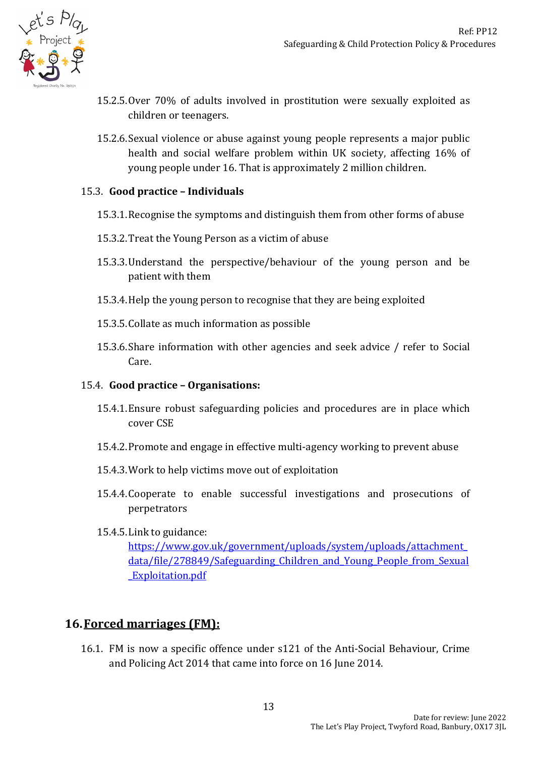

- 15.2.5.Over 70% of adults involved in prostitution were sexually exploited as children or teenagers.
- 15.2.6.Sexual violence or abuse against young people represents a major public health and social welfare problem within UK society, affecting 16% of young people under 16. That is approximately 2 million children.

#### 15.3. **Good practice – Individuals**

- 15.3.1.Recognise the symptoms and distinguish them from other forms of abuse
- 15.3.2.Treat the Young Person as a victim of abuse
- 15.3.3.Understand the perspective/behaviour of the young person and be patient with them
- 15.3.4.Help the young person to recognise that they are being exploited
- 15.3.5.Collate as much information as possible
- 15.3.6.Share information with other agencies and seek advice / refer to Social Care.

#### 15.4. **Good practice – Organisations:**

- 15.4.1.Ensure robust safeguarding policies and procedures are in place which cover CSE
- 15.4.2.Promote and engage in effective multi-agency working to prevent abuse
- 15.4.3.Work to help victims move out of exploitation
- 15.4.4.Cooperate to enable successful investigations and prosecutions of perpetrators
- 15.4.5.Link to guidance:

[https://www.gov.uk/government/uploads/system/uploads/attachment\\_](https://www.gov.uk/government/uploads/system/uploads/attachment_data/file/278849/Safeguarding_Children_and_Young_People_from_Sexual_Exploitation.pdf) data/file/278849/Safeguarding Children and Young People from Sexual [\\_Exploitation.pdf](https://www.gov.uk/government/uploads/system/uploads/attachment_data/file/278849/Safeguarding_Children_and_Young_People_from_Sexual_Exploitation.pdf)

#### **16.Forced marriages (FM):**

16.1. FM is now a specific offence under s121 of the Anti-Social Behaviour, Crime and Policing Act 2014 that came into force on 16 June 2014.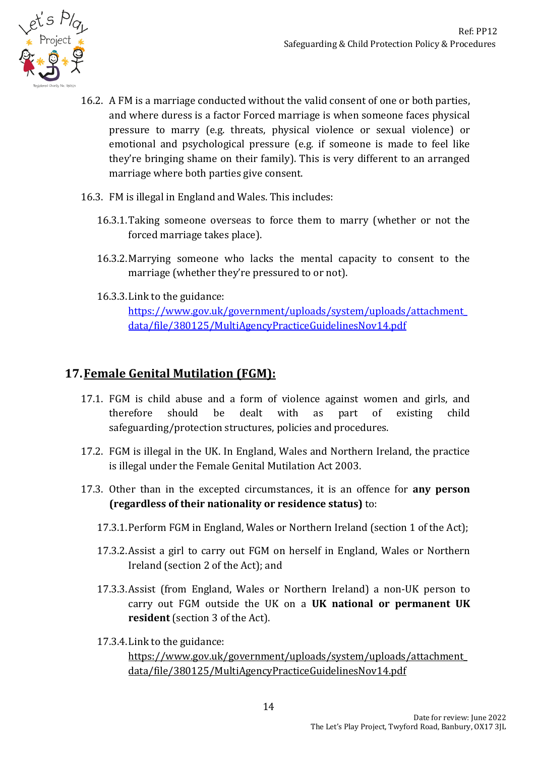

- 16.2. A FM is a marriage conducted without the valid consent of one or both parties, and where duress is a factor Forced marriage is when someone faces physical pressure to marry (e.g. threats, physical violence or sexual violence) or emotional and psychological pressure (e.g. if someone is made to feel like they're bringing shame on their family). This is very different to an arranged marriage where both parties give consent.
- 16.3. FM is illegal in England and Wales. This includes:
	- 16.3.1.Taking someone overseas to force them to marry (whether or not the forced marriage takes place).
	- 16.3.2.Marrying someone who lacks the mental capacity to consent to the marriage (whether they're pressured to or not).
	- 16.3.3.Link to the guidance:

[https://www.gov.uk/government/uploads/system/uploads/attachment\\_](https://www.gov.uk/government/uploads/system/uploads/attachment_data/file/380125/MultiAgencyPracticeGuidelinesNov14.pdf) [data/file/380125/MultiAgencyPracticeGuidelinesNov14.pdf](https://www.gov.uk/government/uploads/system/uploads/attachment_data/file/380125/MultiAgencyPracticeGuidelinesNov14.pdf)

## **17.Female Genital Mutilation (FGM):**

- 17.1. FGM is child abuse and a form of violence against women and girls, and therefore should be dealt with as part of existing child safeguarding/protection structures, policies and procedures.
- 17.2. FGM is illegal in the UK. In England, Wales and Northern Ireland, the practice is illegal under the Female Genital Mutilation Act 2003.
- 17.3. Other than in the excepted circumstances, it is an offence for **any person (regardless of their nationality or residence status)** to:
	- 17.3.1.Perform FGM in England, Wales or Northern Ireland (section 1 of the Act);
	- 17.3.2.Assist a girl to carry out FGM on herself in England, Wales or Northern Ireland (section 2 of the Act); and
	- 17.3.3.Assist (from England, Wales or Northern Ireland) a non-UK person to carry out FGM outside the UK on a **UK national or permanent UK resident** (section 3 of the Act).
	- 17.3.4.Link to the guidance:

[https://www.gov.uk/government/uploads/system/uploads/attachment\\_](https://www.gov.uk/government/uploads/system/uploads/attachment_data/file/380125/MultiAgencyPracticeGuidelinesNov14.pdf) [data/file/380125/MultiAgencyPracticeGuidelinesNov14.pdf](https://www.gov.uk/government/uploads/system/uploads/attachment_data/file/380125/MultiAgencyPracticeGuidelinesNov14.pdf)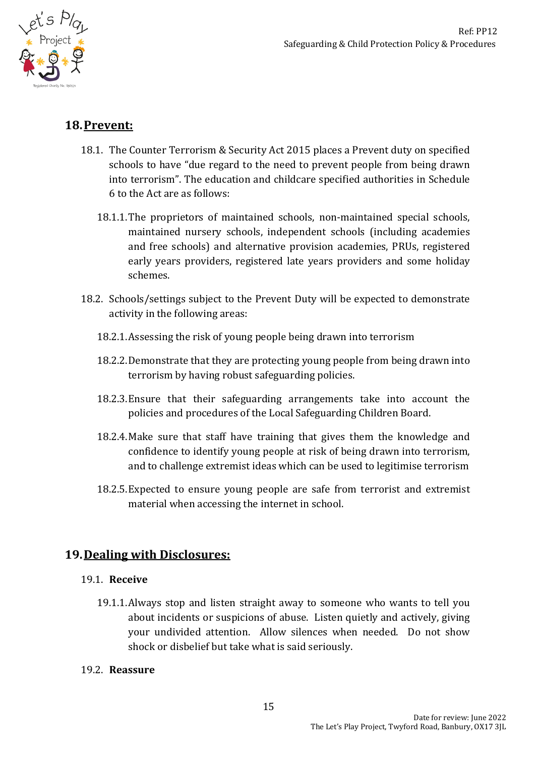

## **18.Prevent:**

- 18.1. The Counter Terrorism & Security Act 2015 places a Prevent duty on specified schools to have "due regard to the need to prevent people from being drawn into terrorism". The education and childcare specified authorities in Schedule 6 to the Act are as follows:
	- 18.1.1.The proprietors of maintained schools, non-maintained special schools, maintained nursery schools, independent schools (including academies and free schools) and alternative provision academies, PRUs, registered early years providers, registered late years providers and some holiday schemes.
- 18.2. Schools/settings subject to the Prevent Duty will be expected to demonstrate activity in the following areas:
	- 18.2.1.Assessing the risk of young people being drawn into terrorism
	- 18.2.2.Demonstrate that they are protecting young people from being drawn into terrorism by having robust safeguarding policies.
	- 18.2.3.Ensure that their safeguarding arrangements take into account the policies and procedures of the Local Safeguarding Children Board.
	- 18.2.4.Make sure that staff have training that gives them the knowledge and confidence to identify young people at risk of being drawn into terrorism, and to challenge extremist ideas which can be used to legitimise terrorism
	- 18.2.5.Expected to ensure young people are safe from terrorist and extremist material when accessing the internet in school.

# **19.Dealing with Disclosures:**

#### 19.1. **Receive**

19.1.1.Always stop and listen straight away to someone who wants to tell you about incidents or suspicions of abuse. Listen quietly and actively, giving your undivided attention. Allow silences when needed. Do not show shock or disbelief but take what is said seriously.

#### 19.2. **Reassure**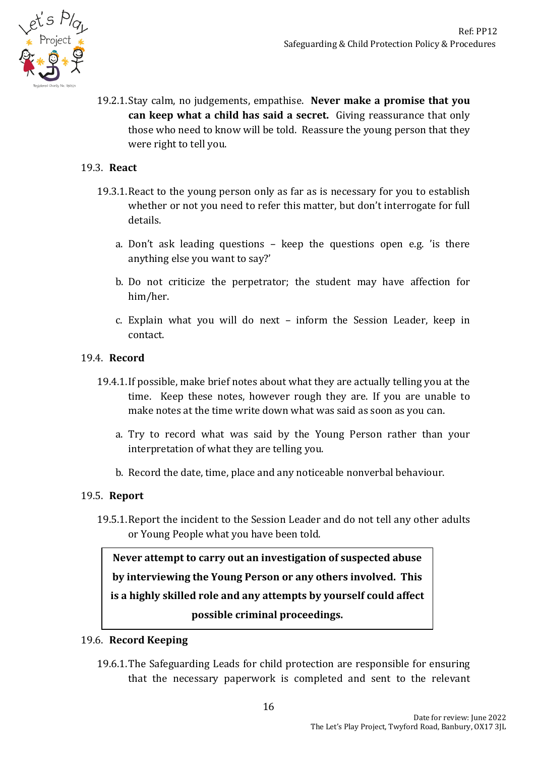

19.2.1.Stay calm, no judgements, empathise. **Never make a promise that you can keep what a child has said a secret.** Giving reassurance that only those who need to know will be told. Reassure the young person that they were right to tell you.

#### 19.3. **React**

- 19.3.1.React to the young person only as far as is necessary for you to establish whether or not you need to refer this matter, but don't interrogate for full details.
	- a. Don't ask leading questions keep the questions open e.g. 'is there anything else you want to say?'
	- b. Do not criticize the perpetrator; the student may have affection for him/her.
	- c. Explain what you will do next inform the Session Leader, keep in contact.

#### 19.4. **Record**

- 19.4.1.If possible, make brief notes about what they are actually telling you at the time. Keep these notes, however rough they are. If you are unable to make notes at the time write down what was said as soon as you can.
	- a. Try to record what was said by the Young Person rather than your interpretation of what they are telling you.
	- b. Record the date, time, place and any noticeable nonverbal behaviour.

#### 19.5. **Report**

19.5.1.Report the incident to the Session Leader and do not tell any other adults or Young People what you have been told.

**Never attempt to carry out an investigation of suspected abuse by interviewing the Young Person or any others involved. This is a highly skilled role and any attempts by yourself could affect possible criminal proceedings.**

#### 19.6. **Record Keeping**

19.6.1.The Safeguarding Leads for child protection are responsible for ensuring that the necessary paperwork is completed and sent to the relevant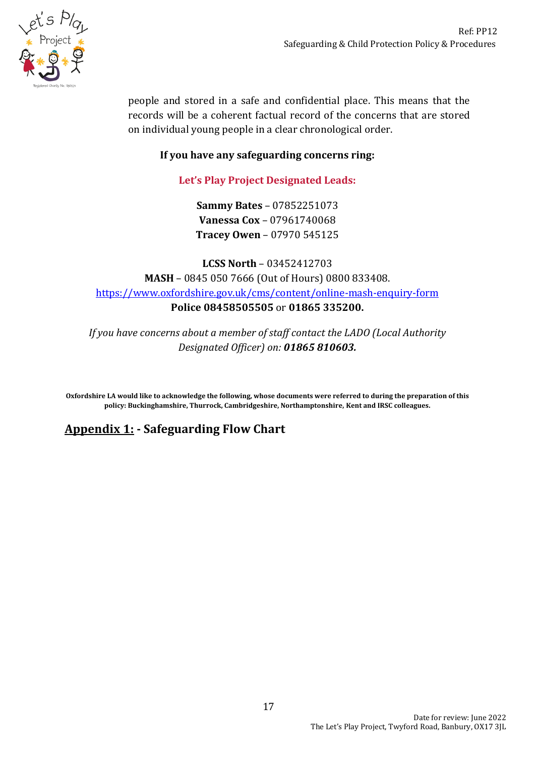

people and stored in a safe and confidential place. This means that the records will be a coherent factual record of the concerns that are stored on individual young people in a clear chronological order.

#### **If you have any safeguarding concerns ring:**

## **Let's Play Project Designated Leads:**

**Sammy Bates** – 07852251073 **Vanessa Cox** – 07961740068 **Tracey Owen** – 07970 545125

**LCSS North** – 03452412703 **MASH** – 0845 050 7666 (Out of Hours) 0800 833408. <https://www.oxfordshire.gov.uk/cms/content/online-mash-enquiry-form> **Police 08458505505** or **01865 335200.**

*If you have concerns about a member of staff contact the LADO (Local Authority Designated Officer) on: 01865 810603.*

**Oxfordshire LA would like to acknowledge the following, whose documents were referred to during the preparation of this policy: Buckinghamshire, Thurrock, Cambridgeshire, Northamptonshire, Kent and IRSC colleagues.**

# **Appendix 1: - Safeguarding Flow Chart**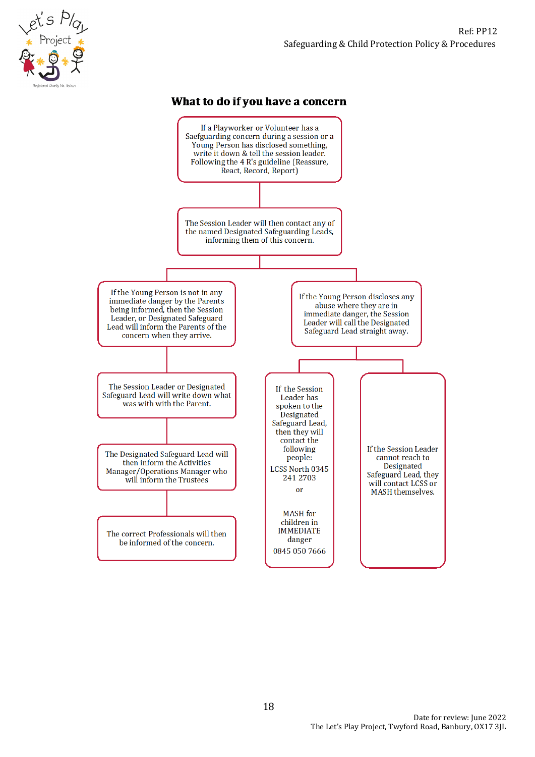#### What to do if you have a concern

et's Play